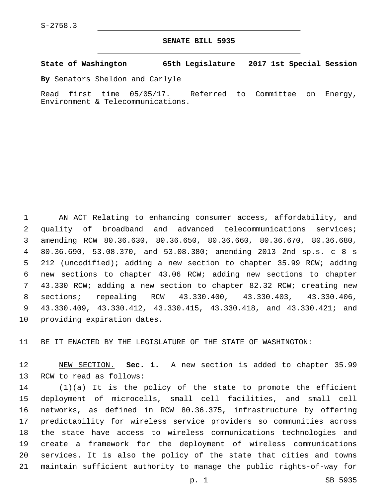## **SENATE BILL 5935**

**State of Washington 65th Legislature 2017 1st Special Session**

**By** Senators Sheldon and Carlyle

Read first time 05/05/17. Referred to Committee on Energy, Environment & Telecommunications.

 AN ACT Relating to enhancing consumer access, affordability, and quality of broadband and advanced telecommunications services; amending RCW 80.36.630, 80.36.650, 80.36.660, 80.36.670, 80.36.680, 80.36.690, 53.08.370, and 53.08.380; amending 2013 2nd sp.s. c 8 s 212 (uncodified); adding a new section to chapter 35.99 RCW; adding new sections to chapter 43.06 RCW; adding new sections to chapter 43.330 RCW; adding a new section to chapter 82.32 RCW; creating new sections; repealing RCW 43.330.400, 43.330.403, 43.330.406, 43.330.409, 43.330.412, 43.330.415, 43.330.418, and 43.330.421; and 10 providing expiration dates.

BE IT ENACTED BY THE LEGISLATURE OF THE STATE OF WASHINGTON:

 NEW SECTION. **Sec. 1.** A new section is added to chapter 35.99 13 RCW to read as follows:

 (1)(a) It is the policy of the state to promote the efficient deployment of microcells, small cell facilities, and small cell networks, as defined in RCW 80.36.375, infrastructure by offering predictability for wireless service providers so communities across the state have access to wireless communications technologies and create a framework for the deployment of wireless communications services. It is also the policy of the state that cities and towns maintain sufficient authority to manage the public rights-of-way for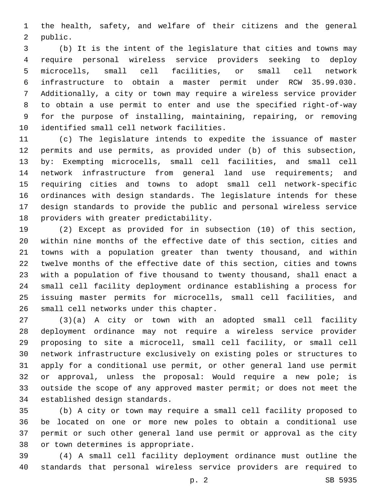the health, safety, and welfare of their citizens and the general 2 public.

 (b) It is the intent of the legislature that cities and towns may require personal wireless service providers seeking to deploy microcells, small cell facilities, or small cell network infrastructure to obtain a master permit under RCW 35.99.030. Additionally, a city or town may require a wireless service provider to obtain a use permit to enter and use the specified right-of-way for the purpose of installing, maintaining, repairing, or removing 10 identified small cell network facilities.

 (c) The legislature intends to expedite the issuance of master permits and use permits, as provided under (b) of this subsection, by: Exempting microcells, small cell facilities, and small cell network infrastructure from general land use requirements; and requiring cities and towns to adopt small cell network-specific ordinances with design standards. The legislature intends for these design standards to provide the public and personal wireless service 18 providers with greater predictability.

 (2) Except as provided for in subsection (10) of this section, within nine months of the effective date of this section, cities and towns with a population greater than twenty thousand, and within twelve months of the effective date of this section, cities and towns with a population of five thousand to twenty thousand, shall enact a small cell facility deployment ordinance establishing a process for issuing master permits for microcells, small cell facilities, and 26 small cell networks under this chapter.

 (3)(a) A city or town with an adopted small cell facility deployment ordinance may not require a wireless service provider proposing to site a microcell, small cell facility, or small cell network infrastructure exclusively on existing poles or structures to apply for a conditional use permit, or other general land use permit or approval, unless the proposal: Would require a new pole; is outside the scope of any approved master permit; or does not meet the 34 established design standards.

 (b) A city or town may require a small cell facility proposed to be located on one or more new poles to obtain a conditional use permit or such other general land use permit or approval as the city 38 or town determines is appropriate.

 (4) A small cell facility deployment ordinance must outline the standards that personal wireless service providers are required to

p. 2 SB 5935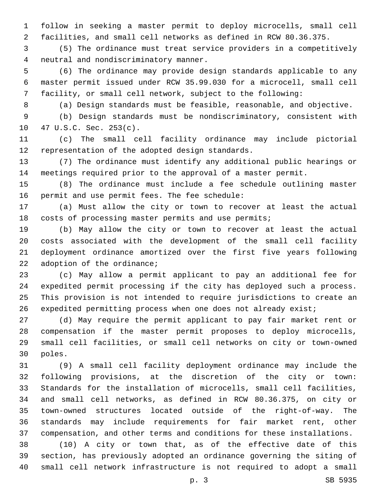follow in seeking a master permit to deploy microcells, small cell facilities, and small cell networks as defined in RCW 80.36.375.

 (5) The ordinance must treat service providers in a competitively 4 neutral and nondiscriminatory manner.

 (6) The ordinance may provide design standards applicable to any master permit issued under RCW 35.99.030 for a microcell, small cell facility, or small cell network, subject to the following:

(a) Design standards must be feasible, reasonable, and objective.

 (b) Design standards must be nondiscriminatory, consistent with 10 47 U.S.C. Sec. 253(c).

 (c) The small cell facility ordinance may include pictorial 12 representation of the adopted design standards.

 (7) The ordinance must identify any additional public hearings or meetings required prior to the approval of a master permit.

 (8) The ordinance must include a fee schedule outlining master 16 permit and use permit fees. The fee schedule:

 (a) Must allow the city or town to recover at least the actual costs of processing master permits and use permits;

 (b) May allow the city or town to recover at least the actual costs associated with the development of the small cell facility deployment ordinance amortized over the first five years following adoption of the ordinance;

 (c) May allow a permit applicant to pay an additional fee for expedited permit processing if the city has deployed such a process. This provision is not intended to require jurisdictions to create an expedited permitting process when one does not already exist;

 (d) May require the permit applicant to pay fair market rent or compensation if the master permit proposes to deploy microcells, small cell facilities, or small cell networks on city or town-owned 30 poles.

 (9) A small cell facility deployment ordinance may include the following provisions, at the discretion of the city or town: Standards for the installation of microcells, small cell facilities, and small cell networks, as defined in RCW 80.36.375, on city or town-owned structures located outside of the right-of-way. The standards may include requirements for fair market rent, other compensation, and other terms and conditions for these installations.

 (10) A city or town that, as of the effective date of this section, has previously adopted an ordinance governing the siting of small cell network infrastructure is not required to adopt a small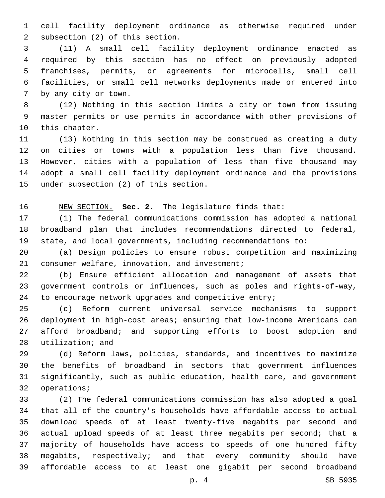cell facility deployment ordinance as otherwise required under 2 subsection (2) of this section.

 (11) A small cell facility deployment ordinance enacted as required by this section has no effect on previously adopted franchises, permits, or agreements for microcells, small cell facilities, or small cell networks deployments made or entered into 7 by any city or town.

 (12) Nothing in this section limits a city or town from issuing master permits or use permits in accordance with other provisions of 10 this chapter.

 (13) Nothing in this section may be construed as creating a duty on cities or towns with a population less than five thousand. However, cities with a population of less than five thousand may adopt a small cell facility deployment ordinance and the provisions 15 under subsection (2) of this section.

NEW SECTION. **Sec. 2.** The legislature finds that:

 (1) The federal communications commission has adopted a national broadband plan that includes recommendations directed to federal, state, and local governments, including recommendations to:

 (a) Design policies to ensure robust competition and maximizing 21 consumer welfare, innovation, and investment;

 (b) Ensure efficient allocation and management of assets that government controls or influences, such as poles and rights-of-way, 24 to encourage network upgrades and competitive entry;

 (c) Reform current universal service mechanisms to support deployment in high-cost areas; ensuring that low-income Americans can afford broadband; and supporting efforts to boost adoption and 28 utilization; and

 (d) Reform laws, policies, standards, and incentives to maximize the benefits of broadband in sectors that government influences significantly, such as public education, health care, and government 32 operations;

 (2) The federal communications commission has also adopted a goal that all of the country's households have affordable access to actual download speeds of at least twenty-five megabits per second and actual upload speeds of at least three megabits per second; that a majority of households have access to speeds of one hundred fifty megabits, respectively; and that every community should have affordable access to at least one gigabit per second broadband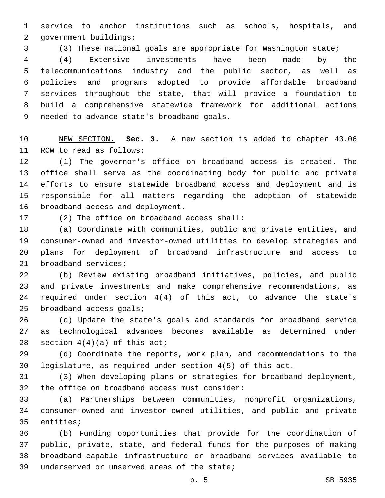service to anchor institutions such as schools, hospitals, and 2 government buildings;

(3) These national goals are appropriate for Washington state;

 (4) Extensive investments have been made by the telecommunications industry and the public sector, as well as policies and programs adopted to provide affordable broadband services throughout the state, that will provide a foundation to build a comprehensive statewide framework for additional actions 9 needed to advance state's broadband goals.

 NEW SECTION. **Sec. 3.** A new section is added to chapter 43.06 11 RCW to read as follows:

 (1) The governor's office on broadband access is created. The office shall serve as the coordinating body for public and private efforts to ensure statewide broadband access and deployment and is responsible for all matters regarding the adoption of statewide 16 broadband access and deployment.

17 (2) The office on broadband access shall:

 (a) Coordinate with communities, public and private entities, and consumer-owned and investor-owned utilities to develop strategies and plans for deployment of broadband infrastructure and access to 21 broadband services;

 (b) Review existing broadband initiatives, policies, and public and private investments and make comprehensive recommendations, as required under section 4(4) of this act, to advance the state's 25 broadband access goals;

 (c) Update the state's goals and standards for broadband service as technological advances becomes available as determined under 28 section  $4(4)(a)$  of this act;

 (d) Coordinate the reports, work plan, and recommendations to the legislature, as required under section 4(5) of this act.

 (3) When developing plans or strategies for broadband deployment, 32 the office on broadband access must consider:

 (a) Partnerships between communities, nonprofit organizations, consumer-owned and investor-owned utilities, and public and private 35 entities;

 (b) Funding opportunities that provide for the coordination of public, private, state, and federal funds for the purposes of making broadband-capable infrastructure or broadband services available to 39 underserved or unserved areas of the state;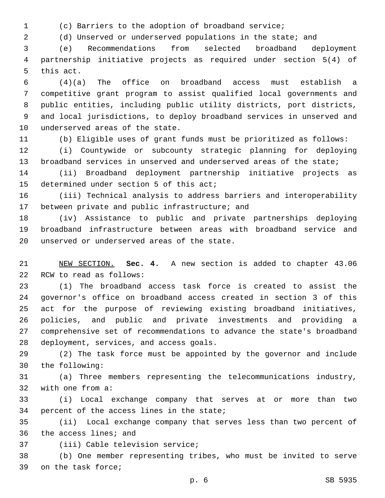(c) Barriers to the adoption of broadband service;

(d) Unserved or underserved populations in the state; and

 (e) Recommendations from selected broadband deployment partnership initiative projects as required under section 5(4) of 5 this act.

 (4)(a) The office on broadband access must establish a competitive grant program to assist qualified local governments and public entities, including public utility districts, port districts, and local jurisdictions, to deploy broadband services in unserved and 10 underserved areas of the state.

(b) Eligible uses of grant funds must be prioritized as follows:

 (i) Countywide or subcounty strategic planning for deploying broadband services in unserved and underserved areas of the state;

 (ii) Broadband deployment partnership initiative projects as 15 determined under section 5 of this act;

 (iii) Technical analysis to address barriers and interoperability 17 between private and public infrastructure; and

 (iv) Assistance to public and private partnerships deploying broadband infrastructure between areas with broadband service and 20 unserved or underserved areas of the state.

 NEW SECTION. **Sec. 4.** A new section is added to chapter 43.06 22 RCW to read as follows:

 (1) The broadband access task force is created to assist the governor's office on broadband access created in section 3 of this act for the purpose of reviewing existing broadband initiatives, policies, and public and private investments and providing a comprehensive set of recommendations to advance the state's broadband 28 deployment, services, and access goals.

 (2) The task force must be appointed by the governor and include 30 the following:

 (a) Three members representing the telecommunications industry, 32 with one from a:

 (i) Local exchange company that serves at or more than two 34 percent of the access lines in the state;

 (ii) Local exchange company that serves less than two percent of 36 the access lines; and

37 (iii) Cable television service;

 (b) One member representing tribes, who must be invited to serve 39 on the task force;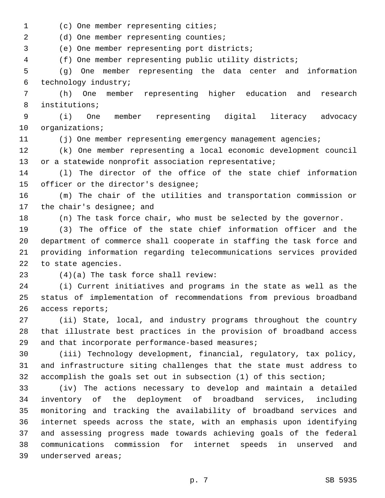(c) One member representing cities;1

2 (d) One member representing counties;

3 (e) One member representing port districts;

4 (f) One member representing public utility districts;

5 (g) One member representing the data center and information 6 technology industry;

7 (h) One member representing higher education and research 8 institutions;

9 (i) One member representing digital literacy advocacy 10 organizations;

11 (j) One member representing emergency management agencies;

12 (k) One member representing a local economic development council 13 or a statewide nonprofit association representative;

14 (l) The director of the office of the state chief information 15 officer or the director's designee;

16 (m) The chair of the utilities and transportation commission or 17 the chair's designee; and

18 (n) The task force chair, who must be selected by the governor.

 (3) The office of the state chief information officer and the department of commerce shall cooperate in staffing the task force and providing information regarding telecommunications services provided 22 to state agencies.

(4)(a) The task force shall review:23

24 (i) Current initiatives and programs in the state as well as the 25 status of implementation of recommendations from previous broadband 26 access reports;

27 (ii) State, local, and industry programs throughout the country 28 that illustrate best practices in the provision of broadband access 29 and that incorporate performance-based measures;

30 (iii) Technology development, financial, regulatory, tax policy, 31 and infrastructure siting challenges that the state must address to 32 accomplish the goals set out in subsection (1) of this section;

 (iv) The actions necessary to develop and maintain a detailed inventory of the deployment of broadband services, including monitoring and tracking the availability of broadband services and internet speeds across the state, with an emphasis upon identifying and assessing progress made towards achieving goals of the federal communications commission for internet speeds in unserved and 39 underserved areas;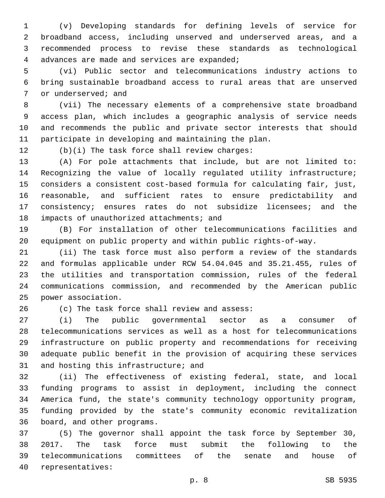(v) Developing standards for defining levels of service for broadband access, including unserved and underserved areas, and a recommended process to revise these standards as technological 4 advances are made and services are expanded;

 (vi) Public sector and telecommunications industry actions to bring sustainable broadband access to rural areas that are unserved 7 or underserved; and

 (vii) The necessary elements of a comprehensive state broadband access plan, which includes a geographic analysis of service needs and recommends the public and private sector interests that should participate in developing and maintaining the plan.

12 (b)(i) The task force shall review charges:

 (A) For pole attachments that include, but are not limited to: Recognizing the value of locally regulated utility infrastructure; considers a consistent cost-based formula for calculating fair, just, reasonable, and sufficient rates to ensure predictability and 17 consistency; ensures rates do not subsidize licensees; and the 18 impacts of unauthorized attachments; and

 (B) For installation of other telecommunications facilities and equipment on public property and within public rights-of-way.

 (ii) The task force must also perform a review of the standards and formulas applicable under RCW 54.04.045 and 35.21.455, rules of the utilities and transportation commission, rules of the federal communications commission, and recommended by the American public 25 power association.

26 (c) The task force shall review and assess:

 (i) The public governmental sector as a consumer of telecommunications services as well as a host for telecommunications infrastructure on public property and recommendations for receiving adequate public benefit in the provision of acquiring these services 31 and hosting this infrastructure; and

 (ii) The effectiveness of existing federal, state, and local funding programs to assist in deployment, including the connect America fund, the state's community technology opportunity program, funding provided by the state's community economic revitalization 36 board, and other programs.

 (5) The governor shall appoint the task force by September 30, 2017. The task force must submit the following to the telecommunications committees of the senate and house of 40 representatives: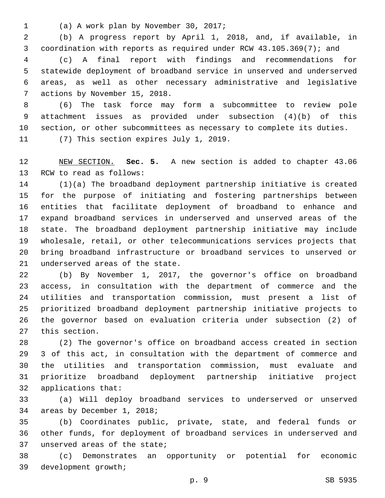(a) A work plan by November 30, 2017;1

 (b) A progress report by April 1, 2018, and, if available, in coordination with reports as required under RCW 43.105.369(7); and

 (c) A final report with findings and recommendations for statewide deployment of broadband service in unserved and underserved areas, as well as other necessary administrative and legislative 7 actions by November 15, 2018.

 (6) The task force may form a subcommittee to review pole attachment issues as provided under subsection (4)(b) of this section, or other subcommittees as necessary to complete its duties.

11 (7) This section expires July 1, 2019.

 NEW SECTION. **Sec. 5.** A new section is added to chapter 43.06 13 RCW to read as follows:

 (1)(a) The broadband deployment partnership initiative is created for the purpose of initiating and fostering partnerships between entities that facilitate deployment of broadband to enhance and expand broadband services in underserved and unserved areas of the state. The broadband deployment partnership initiative may include wholesale, retail, or other telecommunications services projects that bring broadband infrastructure or broadband services to unserved or 21 underserved areas of the state.

 (b) By November 1, 2017, the governor's office on broadband access, in consultation with the department of commerce and the utilities and transportation commission, must present a list of prioritized broadband deployment partnership initiative projects to the governor based on evaluation criteria under subsection (2) of 27 this section.

 (2) The governor's office on broadband access created in section 3 of this act, in consultation with the department of commerce and the utilities and transportation commission, must evaluate and prioritize broadband deployment partnership initiative project 32 applications that:

 (a) Will deploy broadband services to underserved or unserved 34 areas by December 1, 2018;

 (b) Coordinates public, private, state, and federal funds or other funds, for deployment of broadband services in underserved and 37 unserved areas of the state;

 (c) Demonstrates an opportunity or potential for economic development growth;39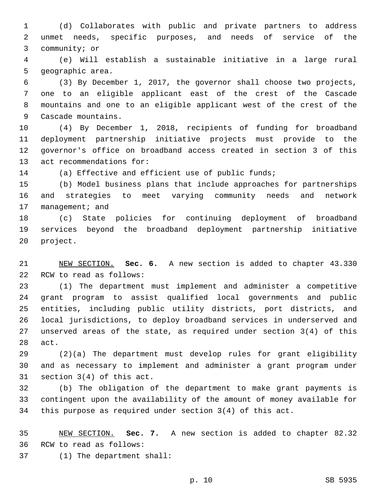(d) Collaborates with public and private partners to address unmet needs, specific purposes, and needs of service of the 3 community; or

 (e) Will establish a sustainable initiative in a large rural 5 qeographic area.

 (3) By December 1, 2017, the governor shall choose two projects, one to an eligible applicant east of the crest of the Cascade mountains and one to an eligible applicant west of the crest of the 9 Cascade mountains.

 (4) By December 1, 2018, recipients of funding for broadband deployment partnership initiative projects must provide to the governor's office on broadband access created in section 3 of this 13 act recommendations for:

(a) Effective and efficient use of public funds;

 (b) Model business plans that include approaches for partnerships and strategies to meet varying community needs and network 17 management; and

 (c) State policies for continuing deployment of broadband services beyond the broadband deployment partnership initiative 20 project.

 NEW SECTION. **Sec. 6.** A new section is added to chapter 43.330 22 RCW to read as follows:

 (1) The department must implement and administer a competitive grant program to assist qualified local governments and public entities, including public utility districts, port districts, and local jurisdictions, to deploy broadband services in underserved and unserved areas of the state, as required under section 3(4) of this 28 act.

 (2)(a) The department must develop rules for grant eligibility and as necessary to implement and administer a grant program under 31 section  $3(4)$  of this act.

 (b) The obligation of the department to make grant payments is contingent upon the availability of the amount of money available for this purpose as required under section 3(4) of this act.

 NEW SECTION. **Sec. 7.** A new section is added to chapter 82.32 36 RCW to read as follows:

(1) The department shall:37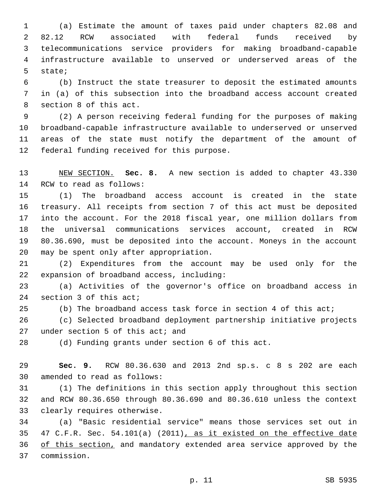(a) Estimate the amount of taxes paid under chapters 82.08 and 82.12 RCW associated with federal funds received by telecommunications service providers for making broadband-capable infrastructure available to unserved or underserved areas of the 5 state;

 (b) Instruct the state treasurer to deposit the estimated amounts in (a) of this subsection into the broadband access account created 8 section 8 of this act.

 (2) A person receiving federal funding for the purposes of making broadband-capable infrastructure available to underserved or unserved areas of the state must notify the department of the amount of 12 federal funding received for this purpose.

 NEW SECTION. **Sec. 8.** A new section is added to chapter 43.330 14 RCW to read as follows:

 (1) The broadband access account is created in the state treasury. All receipts from section 7 of this act must be deposited into the account. For the 2018 fiscal year, one million dollars from the universal communications services account, created in RCW 80.36.690, must be deposited into the account. Moneys in the account 20 may be spent only after appropriation.

 (2) Expenditures from the account may be used only for the 22 expansion of broadband access, including:

 (a) Activities of the governor's office on broadband access in 24 section 3 of this act;

(b) The broadband access task force in section 4 of this act;

 (c) Selected broadband deployment partnership initiative projects 27 under section of this act; and

(d) Funding grants under section 6 of this act.

 **Sec. 9.** RCW 80.36.630 and 2013 2nd sp.s. c 8 s 202 are each 30 amended to read as follows:

 (1) The definitions in this section apply throughout this section and RCW 80.36.650 through 80.36.690 and 80.36.610 unless the context 33 clearly requires otherwise.

 (a) "Basic residential service" means those services set out in 47 C.F.R. Sec. 54.101(a) (2011), as it existed on the effective date 36 of this section, and mandatory extended area service approved by the commission.37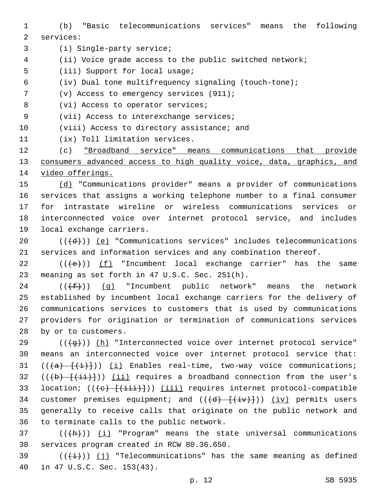- 1 (b) "Basic telecommunications services" means the following 2 services:
- 3 (i) Single-party service;
- 4 (ii) Voice grade access to the public switched network;
- 5 (iii) Support for local usage;
- 6 (iv) Dual tone multifrequency signaling (touch-tone);
- 7 (v) Access to emergency services (911);
- 8 (vi) Access to operator services;
- 9 (vii) Access to interexchange services;
- 10 (viii) Access to directory assistance; and
- 11 (ix) Toll limitation services.

12 (c) "Broadband service" means communications that provide 13 consumers advanced access to high quality voice, data, graphics, and 14 video offerings.

 (d) "Communications provider" means a provider of communications services that assigns a working telephone number to a final consumer for intrastate wireline or wireless communications services or interconnected voice over internet protocol service, and includes 19 local exchange carriers.

- 20  $((+d))$   $(e)$  "Communications services" includes telecommunications 21 services and information services and any combination thereof.
- 22  $((+e))$  (f) "Incumbent local exchange carrier" has the same 23 meaning as set forth in 47 U.S.C. Sec. 251(h).

24 ( $(\text{+f-})$ ) (g) "Incumbent public network" means the network 25 established by incumbent local exchange carriers for the delivery of 26 communications services to customers that is used by communications 27 providers for origination or termination of communications services 28 by or to customers.

29 (((+g)) (h) "Interconnected voice over internet protocol service" 30 means an interconnected voice over internet protocol service that: 31  $((a)$   $\{(i)$  Enables real-time, two-way voice communications; 32 ( $(\overline{(b)} + \overline{(\overline{ii})})$ ) (ii) requires a broadband connection from the user's 33 location;  $((e)$   $((ii))$   $(iii)$  requires internet protocol-compatible 34 customer premises equipment; and  $((\overline{d}) - \overline{(\overline{iv})})$ ) (iv) permits users 35 generally to receive calls that originate on the public network and 36 to terminate calls to the public network.

 $37$  (( $\frac{h}{h}$ )) (i) "Program" means the state universal communications 38 services program created in RCW 80.36.650.

39  $((+i+))$  (j) "Telecommunications" has the same meaning as defined 40 in 47 U.S.C. Sec. 153(43).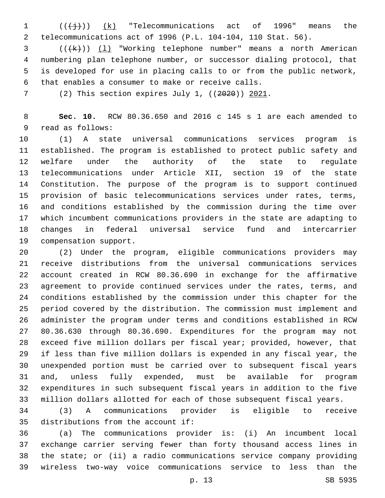1  $((\{\dagger\})$  (k) "Telecommunications act of 1996" means the telecommunications act of 1996 (P.L. 104-104, 110 Stat. 56).

3 (((k)) (1) "Working telephone number" means a north American numbering plan telephone number, or successor dialing protocol, that is developed for use in placing calls to or from the public network, that enables a consumer to make or receive calls.6

(2) This section expires July 1, ((2020)) 2021.

 **Sec. 10.** RCW 80.36.650 and 2016 c 145 s 1 are each amended to 9 read as follows:

 (1) A state universal communications services program is established. The program is established to protect public safety and welfare under the authority of the state to regulate telecommunications under Article XII, section 19 of the state Constitution. The purpose of the program is to support continued provision of basic telecommunications services under rates, terms, and conditions established by the commission during the time over which incumbent communications providers in the state are adapting to changes in federal universal service fund and intercarrier 19 compensation support.

 (2) Under the program, eligible communications providers may receive distributions from the universal communications services account created in RCW 80.36.690 in exchange for the affirmative agreement to provide continued services under the rates, terms, and conditions established by the commission under this chapter for the period covered by the distribution. The commission must implement and administer the program under terms and conditions established in RCW 80.36.630 through 80.36.690. Expenditures for the program may not exceed five million dollars per fiscal year; provided, however, that if less than five million dollars is expended in any fiscal year, the unexpended portion must be carried over to subsequent fiscal years and, unless fully expended, must be available for program expenditures in such subsequent fiscal years in addition to the five million dollars allotted for each of those subsequent fiscal years.

 (3) A communications provider is eligible to receive 35 distributions from the account if:

 (a) The communications provider is: (i) An incumbent local exchange carrier serving fewer than forty thousand access lines in the state; or (ii) a radio communications service company providing wireless two-way voice communications service to less than the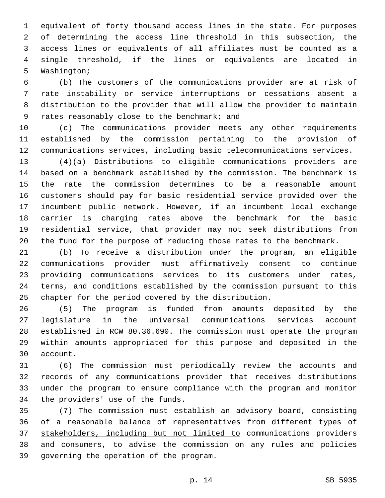equivalent of forty thousand access lines in the state. For purposes of determining the access line threshold in this subsection, the access lines or equivalents of all affiliates must be counted as a single threshold, if the lines or equivalents are located in 5 Washington;

 (b) The customers of the communications provider are at risk of rate instability or service interruptions or cessations absent a distribution to the provider that will allow the provider to maintain 9 rates reasonably close to the benchmark; and

 (c) The communications provider meets any other requirements established by the commission pertaining to the provision of communications services, including basic telecommunications services.

 (4)(a) Distributions to eligible communications providers are based on a benchmark established by the commission. The benchmark is the rate the commission determines to be a reasonable amount customers should pay for basic residential service provided over the incumbent public network. However, if an incumbent local exchange carrier is charging rates above the benchmark for the basic residential service, that provider may not seek distributions from the fund for the purpose of reducing those rates to the benchmark.

 (b) To receive a distribution under the program, an eligible communications provider must affirmatively consent to continue providing communications services to its customers under rates, terms, and conditions established by the commission pursuant to this chapter for the period covered by the distribution.

 (5) The program is funded from amounts deposited by the legislature in the universal communications services account established in RCW 80.36.690. The commission must operate the program within amounts appropriated for this purpose and deposited in the 30 account.

 (6) The commission must periodically review the accounts and records of any communications provider that receives distributions under the program to ensure compliance with the program and monitor 34 the providers' use of the funds.

 (7) The commission must establish an advisory board, consisting of a reasonable balance of representatives from different types of stakeholders, including but not limited to communications providers and consumers, to advise the commission on any rules and policies 39 governing the operation of the program.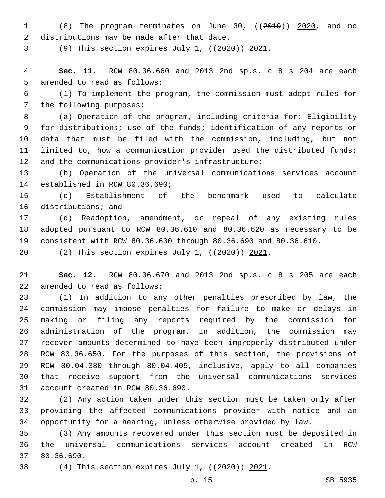(8) The program terminates on June 30, ((2019)) 2020, and no 2 distributions may be made after that date.

(9) This section expires July 1, ((2020)) 2021.

 **Sec. 11.** RCW 80.36.660 and 2013 2nd sp.s. c 8 s 204 are each 5 amended to read as follows:

 (1) To implement the program, the commission must adopt rules for 7 the following purposes:

 (a) Operation of the program, including criteria for: Eligibility for distributions; use of the funds; identification of any reports or data that must be filed with the commission, including, but not limited to, how a communication provider used the distributed funds; 12 and the communications provider's infrastructure;

 (b) Operation of the universal communications services account 14 established in RCW 80.36.690;

 (c) Establishment of the benchmark used to calculate 16 distributions; and

 (d) Readoption, amendment, or repeal of any existing rules adopted pursuant to RCW 80.36.610 and 80.36.620 as necessary to be consistent with RCW 80.36.630 through 80.36.690 and 80.36.610.

(2) This section expires July 1, ((2020)) 2021.

 **Sec. 12.** RCW 80.36.670 and 2013 2nd sp.s. c 8 s 205 are each 22 amended to read as follows:

 (1) In addition to any other penalties prescribed by law, the commission may impose penalties for failure to make or delays in making or filing any reports required by the commission for administration of the program. In addition, the commission may recover amounts determined to have been improperly distributed under RCW 80.36.650. For the purposes of this section, the provisions of RCW 80.04.380 through 80.04.405, inclusive, apply to all companies that receive support from the universal communications services 31 account created in RCW 80.36.690.

 (2) Any action taken under this section must be taken only after providing the affected communications provider with notice and an opportunity for a hearing, unless otherwise provided by law.

 (3) Any amounts recovered under this section must be deposited in the universal communications services account created in RCW 37 80.36.690.

(4) This section expires July 1, ((2020)) 2021.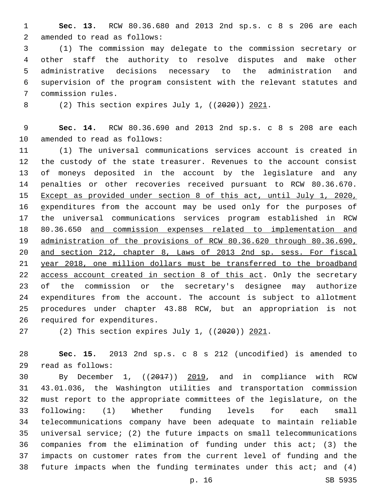**Sec. 13.** RCW 80.36.680 and 2013 2nd sp.s. c 8 s 206 are each 2 amended to read as follows:

 (1) The commission may delegate to the commission secretary or other staff the authority to resolve disputes and make other administrative decisions necessary to the administration and supervision of the program consistent with the relevant statutes and 7 commission rules.

(2) This section expires July 1, ((2020)) 2021.

 **Sec. 14.** RCW 80.36.690 and 2013 2nd sp.s. c 8 s 208 are each 10 amended to read as follows:

 (1) The universal communications services account is created in the custody of the state treasurer. Revenues to the account consist of moneys deposited in the account by the legislature and any penalties or other recoveries received pursuant to RCW 80.36.670. Except as provided under section 8 of this act, until July 1, 2020, expenditures from the account may be used only for the purposes of the universal communications services program established in RCW 80.36.650 and commission expenses related to implementation and administration of the provisions of RCW 80.36.620 through 80.36.690, and section 212, chapter 8, Laws of 2013 2nd sp. sess. For fiscal year 2018, one million dollars must be transferred to the broadband 22 access account created in section 8 of this act. Only the secretary of the commission or the secretary's designee may authorize expenditures from the account. The account is subject to allotment procedures under chapter 43.88 RCW, but an appropriation is not 26 required for expenditures.

(2) This section expires July 1, ((2020)) 2021.

 **Sec. 15.** 2013 2nd sp.s. c 8 s 212 (uncodified) is amended to read as follows:29

 By December 1, ((2017)) 2019, and in compliance with RCW 43.01.036, the Washington utilities and transportation commission must report to the appropriate committees of the legislature, on the following: (1) Whether funding levels for each small telecommunications company have been adequate to maintain reliable universal service; (2) the future impacts on small telecommunications companies from the elimination of funding under this act; (3) the impacts on customer rates from the current level of funding and the future impacts when the funding terminates under this act; and (4)

p. 16 SB 5935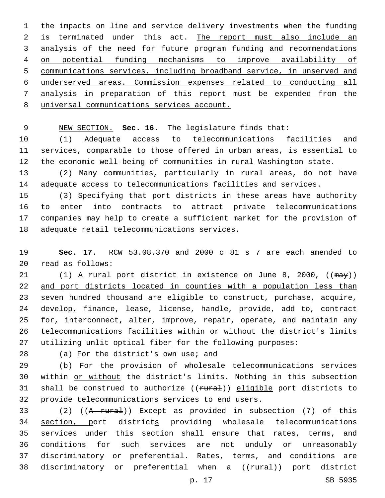the impacts on line and service delivery investments when the funding 2 is terminated under this act. The report must also include an analysis of the need for future program funding and recommendations on potential funding mechanisms to improve availability of communications services, including broadband service, in unserved and underserved areas. Commission expenses related to conducting all analysis in preparation of this report must be expended from the universal communications services account.

NEW SECTION. **Sec. 16.** The legislature finds that:

 (1) Adequate access to telecommunications facilities and services, comparable to those offered in urban areas, is essential to the economic well-being of communities in rural Washington state.

 (2) Many communities, particularly in rural areas, do not have adequate access to telecommunications facilities and services.

 (3) Specifying that port districts in these areas have authority to enter into contracts to attract private telecommunications companies may help to create a sufficient market for the provision of 18 adequate retail telecommunications services.

 **Sec. 17.** RCW 53.08.370 and 2000 c 81 s 7 are each amended to read as follows:20

21 (1) A rural port district in existence on June 8, 2000, ((may)) and port districts located in counties with a population less than seven hundred thousand are eligible to construct, purchase, acquire, develop, finance, lease, license, handle, provide, add to, contract for, interconnect, alter, improve, repair, operate, and maintain any telecommunications facilities within or without the district's limits utilizing unlit optical fiber for the following purposes:

28 (a) For the district's own use; and

 (b) For the provision of wholesale telecommunications services within or without the district's limits. Nothing in this subsection 31 shall be construed to authorize  $((\text{f.1})$  eligible port districts to 32 provide telecommunications services to end users.

33 (2) ((A rural)) Except as provided in subsection (7) of this section, port districts providing wholesale telecommunications services under this section shall ensure that rates, terms, and conditions for such services are not unduly or unreasonably discriminatory or preferential. Rates, terms, and conditions are 38 discriminatory or preferential when a ((<del>rural</del>)) port district

p. 17 SB 5935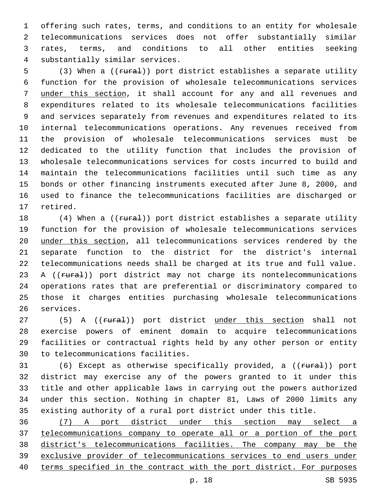offering such rates, terms, and conditions to an entity for wholesale telecommunications services does not offer substantially similar rates, terms, and conditions to all other entities seeking substantially similar services.4

5 (3) When a ((rural)) port district establishes a separate utility function for the provision of wholesale telecommunications services under this section, it shall account for any and all revenues and expenditures related to its wholesale telecommunications facilities and services separately from revenues and expenditures related to its internal telecommunications operations. Any revenues received from the provision of wholesale telecommunications services must be dedicated to the utility function that includes the provision of wholesale telecommunications services for costs incurred to build and maintain the telecommunications facilities until such time as any bonds or other financing instruments executed after June 8, 2000, and used to finance the telecommunications facilities are discharged or 17 retired.

18 (4) When a ((rural)) port district establishes a separate utility function for the provision of wholesale telecommunications services under this section, all telecommunications services rendered by the separate function to the district for the district's internal telecommunications needs shall be charged at its true and full value. 23 A ((rural)) port district may not charge its nontelecommunications operations rates that are preferential or discriminatory compared to those it charges entities purchasing wholesale telecommunications 26 services.

27 (5) A ((rural)) port district under this section shall not exercise powers of eminent domain to acquire telecommunications facilities or contractual rights held by any other person or entity 30 to telecommunications facilities.

31 (6) Except as otherwise specifically provided, a ((rural)) port district may exercise any of the powers granted to it under this title and other applicable laws in carrying out the powers authorized under this section. Nothing in chapter 81, Laws of 2000 limits any existing authority of a rural port district under this title.

 (7) A port district under this section may select a telecommunications company to operate all or a portion of the port district's telecommunications facilities. The company may be the exclusive provider of telecommunications services to end users under terms specified in the contract with the port district. For purposes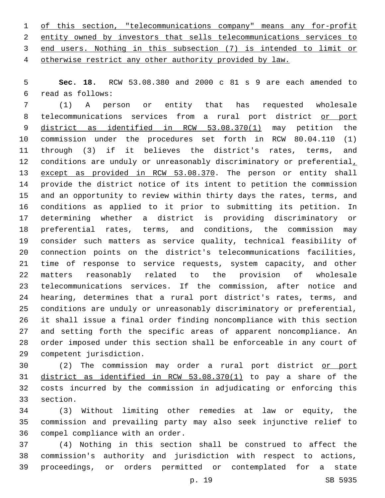of this section, "telecommunications company" means any for-profit entity owned by investors that sells telecommunications services to end users. Nothing in this subsection (7) is intended to limit or otherwise restrict any other authority provided by law.

 **Sec. 18.** RCW 53.08.380 and 2000 c 81 s 9 are each amended to read as follows:6

 (1) A person or entity that has requested wholesale 8 telecommunications services from a rural port district or port 9 district as identified in RCW 53.08.370(1) may petition the commission under the procedures set forth in RCW 80.04.110 (1) through (3) if it believes the district's rates, terms, and 12 conditions are unduly or unreasonably discriminatory or preferential, 13 except as provided in RCW 53.08.370. The person or entity shall provide the district notice of its intent to petition the commission and an opportunity to review within thirty days the rates, terms, and conditions as applied to it prior to submitting its petition. In determining whether a district is providing discriminatory or preferential rates, terms, and conditions, the commission may consider such matters as service quality, technical feasibility of connection points on the district's telecommunications facilities, time of response to service requests, system capacity, and other matters reasonably related to the provision of wholesale telecommunications services. If the commission, after notice and hearing, determines that a rural port district's rates, terms, and conditions are unduly or unreasonably discriminatory or preferential, it shall issue a final order finding noncompliance with this section and setting forth the specific areas of apparent noncompliance. An order imposed under this section shall be enforceable in any court of competent jurisdiction.29

 (2) The commission may order a rural port district or port district as identified in RCW 53.08.370(1) to pay a share of the costs incurred by the commission in adjudicating or enforcing this 33 section.

 (3) Without limiting other remedies at law or equity, the commission and prevailing party may also seek injunctive relief to 36 compel compliance with an order.

 (4) Nothing in this section shall be construed to affect the commission's authority and jurisdiction with respect to actions, proceedings, or orders permitted or contemplated for a state